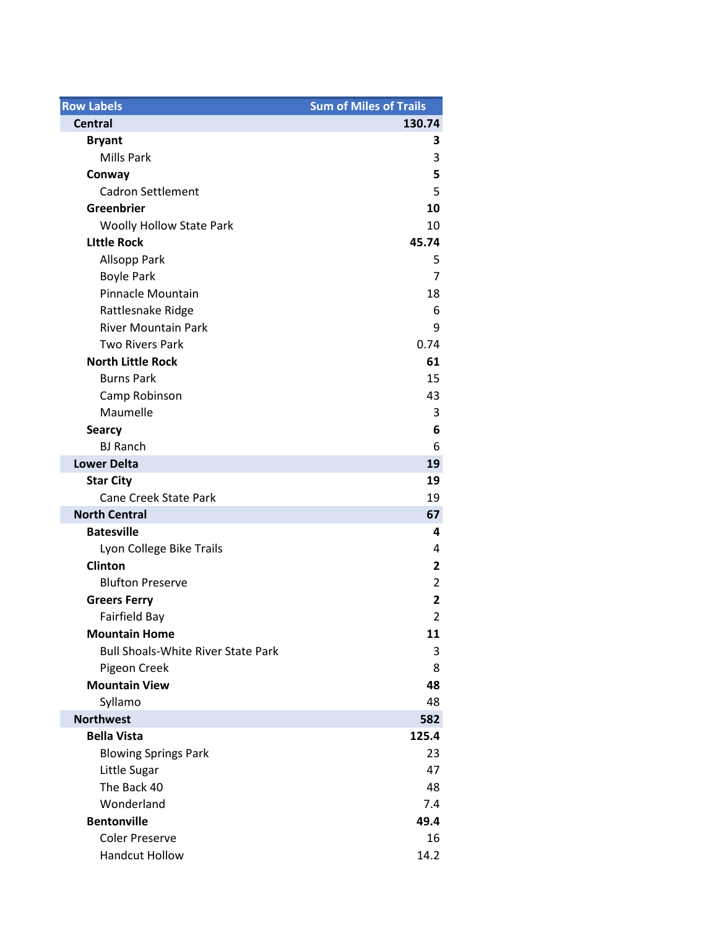| <b>Row Labels</b>                         | <b>Sum of Miles of Trails</b> |
|-------------------------------------------|-------------------------------|
| <b>Central</b>                            | 130.74                        |
| <b>Bryant</b>                             | З                             |
| <b>Mills Park</b>                         | 3                             |
| Conway                                    | 5                             |
| <b>Cadron Settlement</b>                  | 5                             |
| Greenbrier                                | 10                            |
| <b>Woolly Hollow State Park</b>           | 10                            |
| <b>Little Rock</b>                        | 45.74                         |
| <b>Allsopp Park</b>                       | 5                             |
| <b>Boyle Park</b>                         | $\overline{7}$                |
| Pinnacle Mountain                         | 18                            |
| Rattlesnake Ridge                         | 6                             |
| <b>River Mountain Park</b>                | 9                             |
| <b>Two Rivers Park</b>                    | 0.74                          |
| <b>North Little Rock</b>                  | 61                            |
| <b>Burns Park</b>                         | 15                            |
| Camp Robinson                             | 43                            |
| Maumelle                                  | 3                             |
| <b>Searcy</b>                             | 6                             |
| <b>BJ Ranch</b>                           | 6                             |
| <b>Lower Delta</b>                        | 19                            |
| <b>Star City</b>                          | 19                            |
| <b>Cane Creek State Park</b>              | 19                            |
| <b>North Central</b>                      | 67                            |
| <b>Batesville</b>                         | 4                             |
| Lyon College Bike Trails                  | 4                             |
| <b>Clinton</b>                            | 2                             |
| <b>Blufton Preserve</b>                   | $\overline{2}$                |
| <b>Greers Ferry</b>                       | $\overline{\mathbf{2}}$       |
| Fairfield Bay                             | $\overline{2}$                |
| <b>Mountain Home</b>                      | 11                            |
| <b>Bull Shoals-White River State Park</b> | 3                             |
| Pigeon Creek                              | 8                             |
| <b>Mountain View</b>                      | 48                            |
| Syllamo                                   | 48                            |
| <b>Northwest</b>                          | 582                           |
| <b>Bella Vista</b>                        | 125.4                         |
| <b>Blowing Springs Park</b>               | 23                            |
| Little Sugar                              | 47                            |
| The Back 40                               | 48                            |
| Wonderland                                | 7.4                           |
| <b>Bentonville</b>                        | 49.4                          |
| <b>Coler Preserve</b>                     | 16                            |
| <b>Handcut Hollow</b>                     | 14.2                          |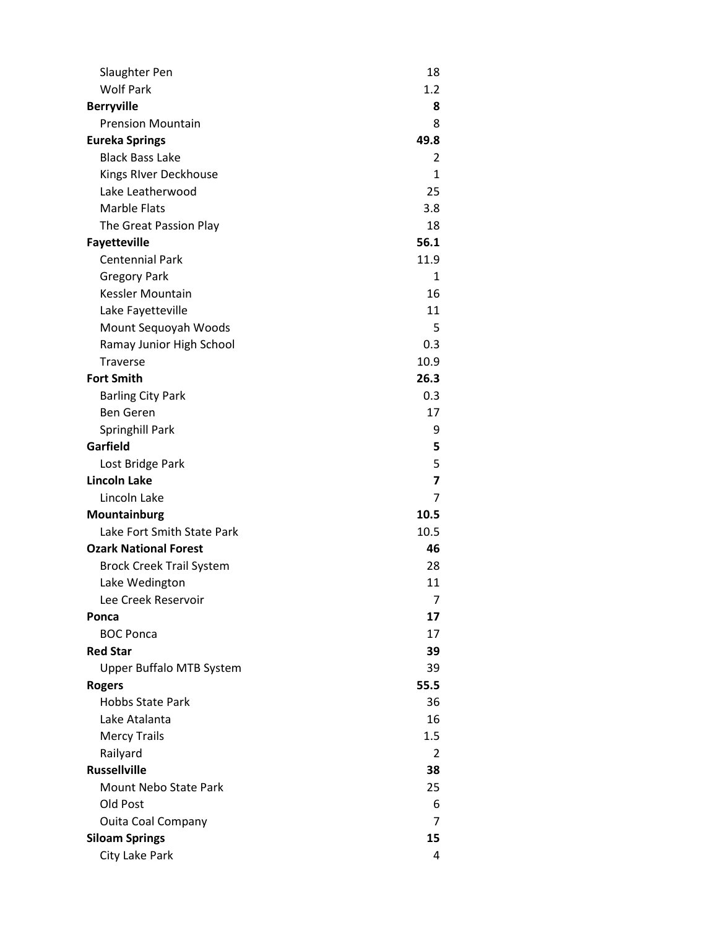| Slaughter Pen                   | 18                      |
|---------------------------------|-------------------------|
| <b>Wolf Park</b>                | $1.2\,$                 |
| <b>Berryville</b>               | 8                       |
| <b>Prension Mountain</b>        | 8                       |
| <b>Eureka Springs</b>           | 49.8                    |
| <b>Black Bass Lake</b>          | 2                       |
| Kings RIver Deckhouse           | 1                       |
| Lake Leatherwood                | 25                      |
| <b>Marble Flats</b>             | 3.8                     |
| The Great Passion Play          | 18                      |
| <b>Fayetteville</b>             | 56.1                    |
| <b>Centennial Park</b>          | 11.9                    |
| <b>Gregory Park</b>             | 1                       |
| Kessler Mountain                | 16                      |
| Lake Fayetteville               | 11                      |
| Mount Sequoyah Woods            | 5                       |
| Ramay Junior High School        | 0.3                     |
| <b>Traverse</b>                 | 10.9                    |
| <b>Fort Smith</b>               | 26.3                    |
| <b>Barling City Park</b>        | 0.3                     |
| <b>Ben Geren</b>                | 17                      |
| <b>Springhill Park</b>          | 9                       |
| Garfield                        | 5                       |
| Lost Bridge Park                | 5                       |
| <b>Lincoln Lake</b>             | $\overline{\mathbf{z}}$ |
| Lincoln Lake                    | 7                       |
| Mountainburg                    | 10.5                    |
| Lake Fort Smith State Park      | 10.5                    |
| <b>Ozark National Forest</b>    | 46                      |
| <b>Brock Creek Trail System</b> | 28                      |
| Lake Wedington                  | 11                      |
| Lee Creek Reservoir             | 7                       |
| Ponca                           | 17                      |
| <b>BOC Ponca</b>                | 17                      |
| <b>Red Star</b>                 | 39                      |
| Upper Buffalo MTB System        | 39                      |
| <b>Rogers</b>                   | 55.5                    |
| <b>Hobbs State Park</b>         | 36                      |
| Lake Atalanta                   | 16                      |
| <b>Mercy Trails</b>             | 1.5                     |
| Railyard                        | 2                       |
| <b>Russellville</b>             | 38                      |
| <b>Mount Nebo State Park</b>    | 25                      |
| Old Post                        | 6                       |
| <b>Ouita Coal Company</b>       | 7                       |
| <b>Siloam Springs</b>           | 15                      |
| City Lake Park                  | 4                       |